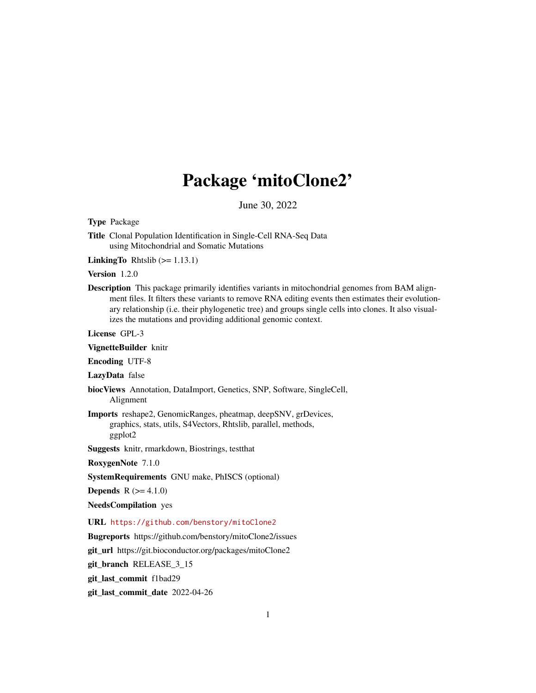## Package 'mitoClone2'

June 30, 2022

<span id="page-0-0"></span>Type Package

Title Clonal Population Identification in Single-Cell RNA-Seq Data using Mitochondrial and Somatic Mutations

**LinkingTo** Rhtslib  $(>= 1.13.1)$ 

Version 1.2.0

Description This package primarily identifies variants in mitochondrial genomes from BAM alignment files. It filters these variants to remove RNA editing events then estimates their evolutionary relationship (i.e. their phylogenetic tree) and groups single cells into clones. It also visualizes the mutations and providing additional genomic context.

License GPL-3

VignetteBuilder knitr

Encoding UTF-8

LazyData false

biocViews Annotation, DataImport, Genetics, SNP, Software, SingleCell, Alignment

Imports reshape2, GenomicRanges, pheatmap, deepSNV, grDevices, graphics, stats, utils, S4Vectors, Rhtslib, parallel, methods, ggplot2

Suggests knitr, rmarkdown, Biostrings, testthat

RoxygenNote 7.1.0

SystemRequirements GNU make, PhISCS (optional)

**Depends**  $R (= 4.1.0)$ 

NeedsCompilation yes

URL <https://github.com/benstory/mitoClone2>

Bugreports https://github.com/benstory/mitoClone2/issues

git\_url https://git.bioconductor.org/packages/mitoClone2

git\_branch RELEASE\_3\_15

git\_last\_commit f1bad29

git\_last\_commit\_date 2022-04-26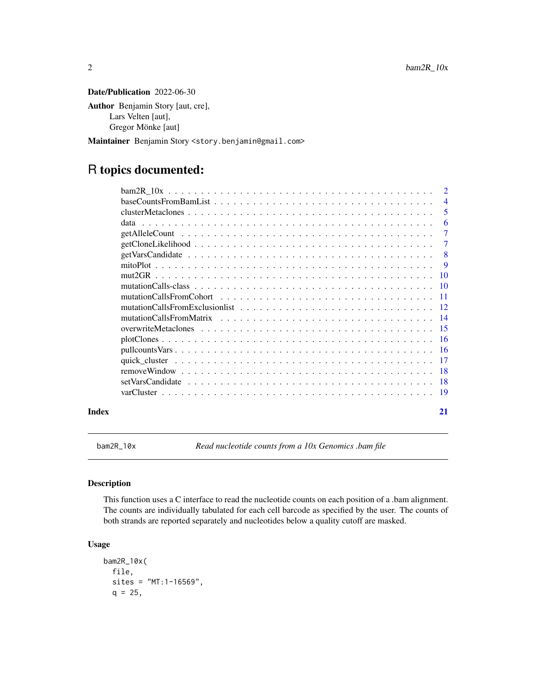<span id="page-1-0"></span>Date/Publication 2022-06-30

Author Benjamin Story [aut, cre], Lars Velten [aut], Gregor Mönke [aut]

Maintainer Benjamin Story <story.benjamin@gmail.com>

## R topics documented:

|       |                                                                                                                | $\overline{2}$ |
|-------|----------------------------------------------------------------------------------------------------------------|----------------|
|       |                                                                                                                | $\overline{4}$ |
|       |                                                                                                                | 5              |
|       | data                                                                                                           | 6              |
|       |                                                                                                                | $\tau$         |
|       | $getClonelikelihood \dots \dots \dots \dots \dots \dots \dots \dots \dots \dots \dots \dots \dots \dots \dots$ | $\tau$         |
|       |                                                                                                                | -8             |
|       |                                                                                                                | <b>9</b>       |
|       |                                                                                                                |                |
|       |                                                                                                                |                |
|       |                                                                                                                |                |
|       |                                                                                                                |                |
|       | mutationCallsFromMatrix                                                                                        |                |
|       |                                                                                                                |                |
|       |                                                                                                                |                |
|       |                                                                                                                |                |
|       |                                                                                                                |                |
|       |                                                                                                                |                |
|       |                                                                                                                |                |
|       |                                                                                                                |                |
| Index |                                                                                                                | 21             |

<span id="page-1-1"></span>bam2R\_10x *Read nucleotide counts from a 10x Genomics .bam file*

### Description

This function uses a C interface to read the nucleotide counts on each position of a .bam alignment. The counts are individually tabulated for each cell barcode as specified by the user. The counts of both strands are reported separately and nucleotides below a quality cutoff are masked.

### Usage

```
bam2R_10x(
  file,
  sites = "MT:1-16569",
  q = 25,
```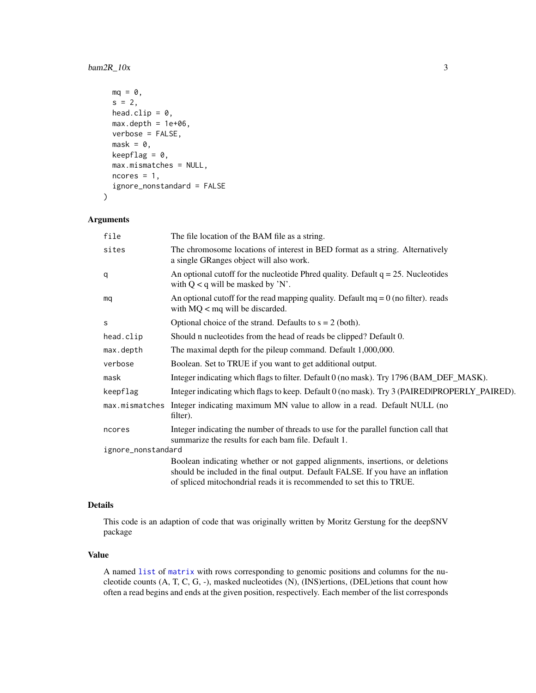### <span id="page-2-0"></span> $bam2R_10x$  3

```
mq = 0,s = 2,head.clip = 0,
 max.depth = 1e+06,
 verbose = FALSE,
 mask = 0,keepflag = 0,
 max.mismatches = NULL,
 ncores = 1,
  ignore_nonstandard = FALSE
\mathcal{L}
```
### Arguments

| file               | The file location of the BAM file as a string.                                                                                                                                                                                            |  |
|--------------------|-------------------------------------------------------------------------------------------------------------------------------------------------------------------------------------------------------------------------------------------|--|
| sites              | The chromosome locations of interest in BED format as a string. Alternatively<br>a single GRanges object will also work.                                                                                                                  |  |
| q                  | An optional cutoff for the nucleotide Phred quality. Default $q = 25$ . Nucleotides<br>with $Q < q$ will be masked by 'N'.                                                                                                                |  |
| mq                 | An optional cutoff for the read mapping quality. Default $mq = 0$ (no filter). reads<br>with $MQ <$ mq will be discarded.                                                                                                                 |  |
| S                  | Optional choice of the strand. Defaults to $s = 2$ (both).                                                                                                                                                                                |  |
| head.clip          | Should n nucleotides from the head of reads be clipped? Default 0.                                                                                                                                                                        |  |
| max.depth          | The maximal depth for the pileup command. Default 1,000,000.                                                                                                                                                                              |  |
| verbose            | Boolean. Set to TRUE if you want to get additional output.                                                                                                                                                                                |  |
| mask               | Integer indicating which flags to filter. Default 0 (no mask). Try 1796 (BAM_DEF_MASK).                                                                                                                                                   |  |
| keepflag           | Integer indicating which flags to keep. Default 0 (no mask). Try 3 (PAIRED PROPERLY_PAIRED).                                                                                                                                              |  |
|                    | max mismatches Integer indicating maximum MN value to allow in a read. Default NULL (no<br>filter).                                                                                                                                       |  |
| ncores             | Integer indicating the number of threads to use for the parallel function call that<br>summarize the results for each bam file. Default 1.                                                                                                |  |
| ignore_nonstandard |                                                                                                                                                                                                                                           |  |
|                    | Boolean indicating whether or not gapped alignments, insertions, or deletions<br>should be included in the final output. Default FALSE. If you have an inflation<br>of spliced mitochondrial reads it is recommended to set this to TRUE. |  |
|                    |                                                                                                                                                                                                                                           |  |

### Details

This code is an adaption of code that was originally written by Moritz Gerstung for the deepSNV package

### Value

A named [list](#page-0-0) of [matrix](#page-0-0) with rows corresponding to genomic positions and columns for the nucleotide counts (A, T, C, G, -), masked nucleotides (N), (INS)ertions, (DEL)etions that count how often a read begins and ends at the given position, respectively. Each member of the list corresponds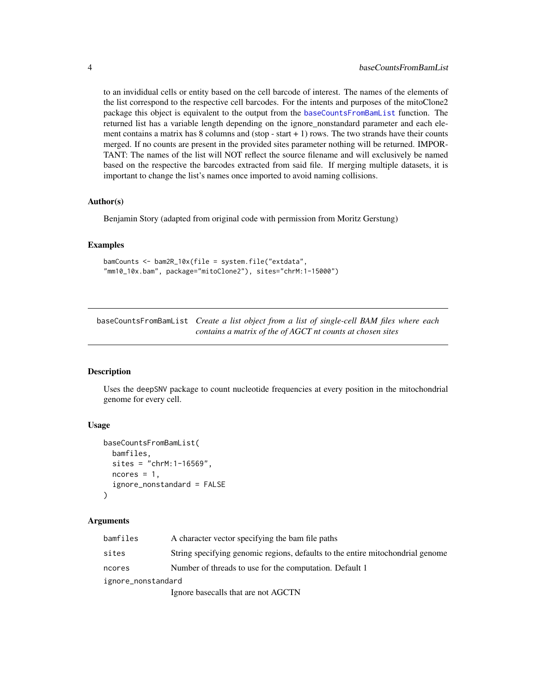<span id="page-3-0"></span>to an invididual cells or entity based on the cell barcode of interest. The names of the elements of the list correspond to the respective cell barcodes. For the intents and purposes of the mitoClone2 package this object is equivalent to the output from the [baseCountsFromBamList](#page-3-1) function. The returned list has a variable length depending on the ignore\_nonstandard parameter and each element contains a matrix has  $8$  columns and (stop - start  $+1$ ) rows. The two strands have their counts merged. If no counts are present in the provided sites parameter nothing will be returned. IMPOR-TANT: The names of the list will NOT reflect the source filename and will exclusively be named based on the respective the barcodes extracted from said file. If merging multiple datasets, it is important to change the list's names once imported to avoid naming collisions.

### Author(s)

Benjamin Story (adapted from original code with permission from Moritz Gerstung)

### Examples

```
bamCounts <- bam2R_10x(file = system.file("extdata",
"mm10_10x.bam", package="mitoClone2"), sites="chrM:1-15000")
```
<span id="page-3-1"></span>baseCountsFromBamList *Create a list object from a list of single-cell BAM files where each contains a matrix of the of AGCT nt counts at chosen sites*

### Description

Uses the deepSNV package to count nucleotide frequencies at every position in the mitochondrial genome for every cell.

### Usage

```
baseCountsFromBamList(
 bamfiles,
  sites = "chrM: 1-16569",ncores = 1,
  ignore_nonstandard = FALSE
)
```

| bamfiles           | A character vector specifying the bam file paths                               |
|--------------------|--------------------------------------------------------------------------------|
| sites              | String specifying genomic regions, defaults to the entire mitochondrial genome |
| ncores             | Number of threads to use for the computation. Default 1                        |
| ignore_nonstandard |                                                                                |
|                    | Ignore basecalls that are not AGCTN                                            |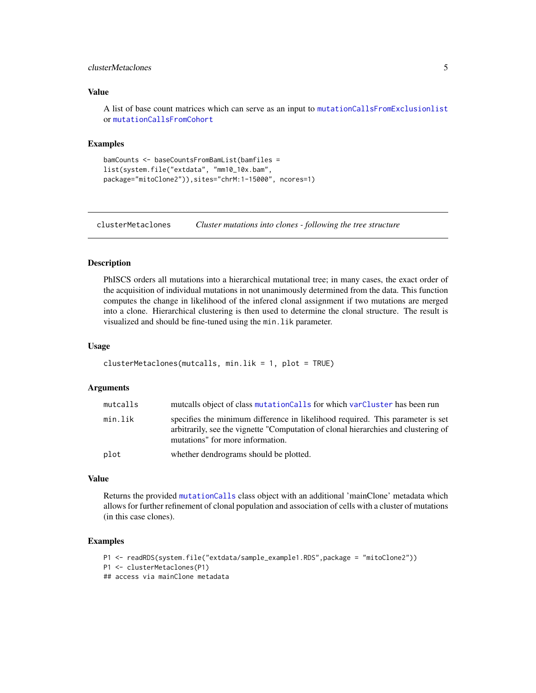### <span id="page-4-0"></span>clusterMetaclones 5

### Value

A list of base count matrices which can serve as an input to [mutationCallsFromExclusionlist](#page-11-1) or [mutationCallsFromCohort](#page-10-1)

### Examples

```
bamCounts <- baseCountsFromBamList(bamfiles =
list(system.file("extdata", "mm10_10x.bam",
package="mitoClone2")),sites="chrM:1-15000", ncores=1)
```
<span id="page-4-1"></span>clusterMetaclones *Cluster mutations into clones - following the tree structure*

### Description

PhISCS orders all mutations into a hierarchical mutational tree; in many cases, the exact order of the acquisition of individual mutations in not unanimously determined from the data. This function computes the change in likelihood of the infered clonal assignment if two mutations are merged into a clone. Hierarchical clustering is then used to determine the clonal structure. The result is visualized and should be fine-tuned using the min.lik parameter.

### Usage

```
clusterMetaclones(mutcalls, min.lik = 1, plot = TRUE)
```
### Arguments

| mutcalls | mutcalls object of class mutationCalls for which varCluster has been run                                                                                                                                 |
|----------|----------------------------------------------------------------------------------------------------------------------------------------------------------------------------------------------------------|
| min.lik  | specifies the minimum difference in likelihood required. This parameter is set<br>arbitrarily, see the vignette "Computation of clonal hierarchies and clustering of<br>mutations" for more information. |
| plot     | whether dendrograms should be plotted.                                                                                                                                                                   |

### Value

Returns the provided [mutationCalls](#page-9-1) class object with an additional 'mainClone' metadata which allows for further refinement of clonal population and association of cells with a cluster of mutations (in this case clones).

```
P1 <- readRDS(system.file("extdata/sample_example1.RDS",package = "mitoClone2"))
P1 <- clusterMetaclones(P1)
## access via mainClone metadata
```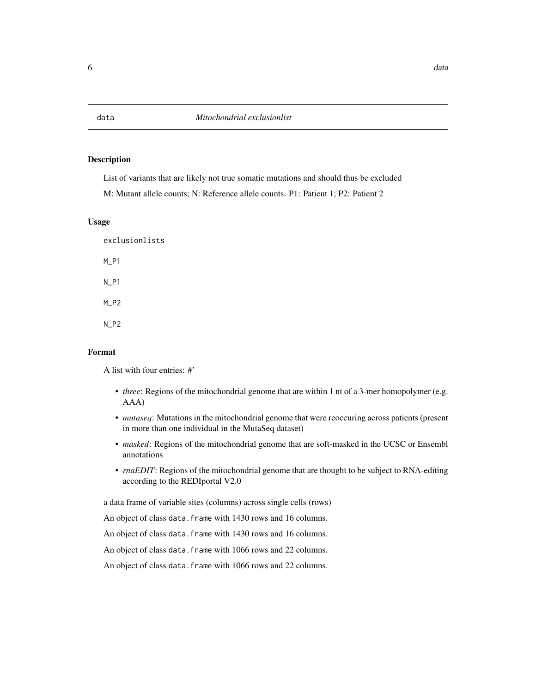List of variants that are likely not true somatic mutations and should thus be excluded

M: Mutant allele counts; N: Reference allele counts. P1: Patient 1; P2: Patient 2

### Usage

exclusionlists M\_P1 N\_P1 M\_P2 N\_P2

### Format

A list with four entries: #'

- *three*: Regions of the mitochondrial genome that are within 1 nt of a 3-mer homopolymer (e.g. AAA)
- *mutaseq*: Mutations in the mitochondrial genome that were reoccuring across patients (present in more than one individual in the MutaSeq dataset)
- *masked*: Regions of the mitochondrial genome that are soft-masked in the UCSC or Ensembl annotations
- *rnaEDIT*: Regions of the mitochondrial genome that are thought to be subject to RNA-editing according to the REDIportal V2.0

a data frame of variable sites (columns) across single cells (rows)

An object of class data.frame with 1430 rows and 16 columns.

An object of class data.frame with 1430 rows and 16 columns.

An object of class data. frame with 1066 rows and 22 columns.

An object of class data. frame with 1066 rows and 22 columns.

<span id="page-5-0"></span>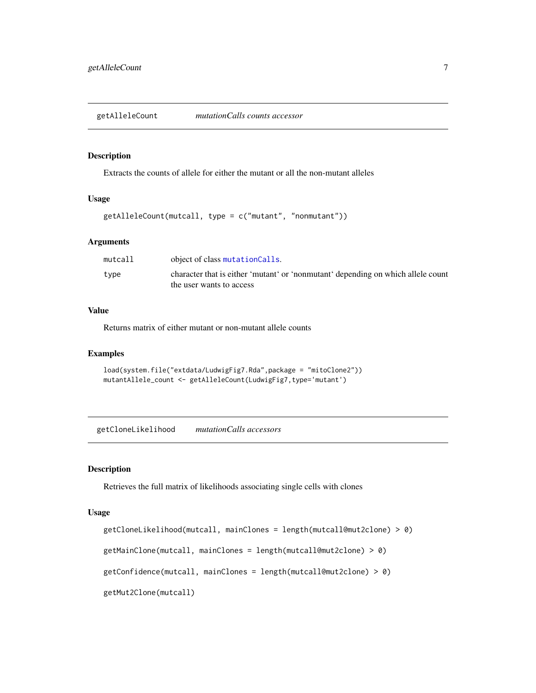<span id="page-6-0"></span>getAlleleCount *mutationCalls counts accessor*

### Description

Extracts the counts of allele for either the mutant or all the non-mutant alleles

### Usage

getAlleleCount(mutcall, type = c("mutant", "nonmutant"))

#### Arguments

| mutcall | object of class mutationCalls.                                                                               |
|---------|--------------------------------------------------------------------------------------------------------------|
| type    | character that is either 'mutant' or 'nonmutant' depending on which allele count<br>the user wants to access |

### Value

Returns matrix of either mutant or non-mutant allele counts

### Examples

```
load(system.file("extdata/LudwigFig7.Rda",package = "mitoClone2"))
mutantAllele_count <- getAlleleCount(LudwigFig7,type='mutant')
```
getCloneLikelihood *mutationCalls accessors*

### Description

Retrieves the full matrix of likelihoods associating single cells with clones

#### Usage

```
getCloneLikelihood(mutcall, mainClones = length(mutcall@mut2clone) > 0)
getMainClone(mutcall, mainClones = length(mutcall@mut2clone) > 0)
getConfidence(mutcall, mainClones = length(mutcall@mut2clone) > 0)
getMut2Clone(mutcall)
```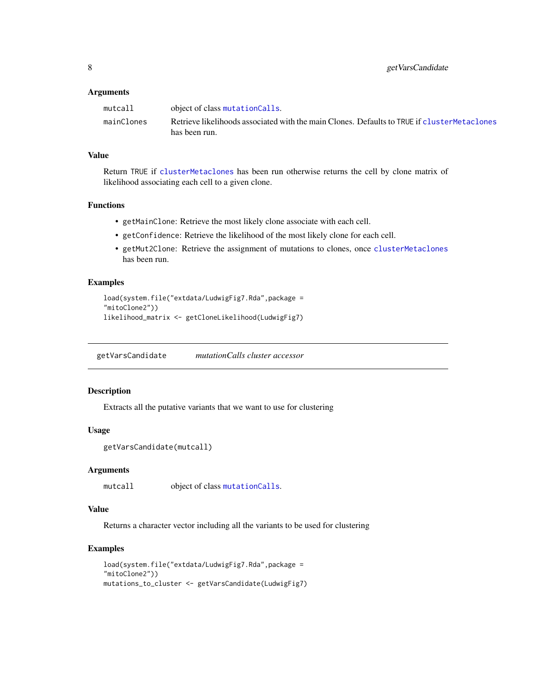### <span id="page-7-0"></span>Arguments

| mutcall    | object of class mutation Calls.                                                              |
|------------|----------------------------------------------------------------------------------------------|
| mainClones | Retrieve likelihoods associated with the main Clones. Defaults to TRUE if cluster Metaclones |
|            | has been run.                                                                                |

### Value

Return TRUE if [clusterMetaclones](#page-4-1) has been run otherwise returns the cell by clone matrix of likelihood associating each cell to a given clone.

### Functions

- getMainClone: Retrieve the most likely clone associate with each cell.
- getConfidence: Retrieve the likelihood of the most likely clone for each cell.
- getMut2Clone: Retrieve the assignment of mutations to clones, once [clusterMetaclones](#page-4-1) has been run.

### Examples

```
load(system.file("extdata/LudwigFig7.Rda",package =
"mitoClone2"))
likelihood_matrix <- getCloneLikelihood(LudwigFig7)
```
getVarsCandidate *mutationCalls cluster accessor*

### Description

Extracts all the putative variants that we want to use for clustering

### Usage

```
getVarsCandidate(mutcall)
```
### Arguments

mutcall object of class [mutationCalls](#page-9-1).

### Value

Returns a character vector including all the variants to be used for clustering

```
load(system.file("extdata/LudwigFig7.Rda",package =
"mitoClone2"))
mutations_to_cluster <- getVarsCandidate(LudwigFig7)
```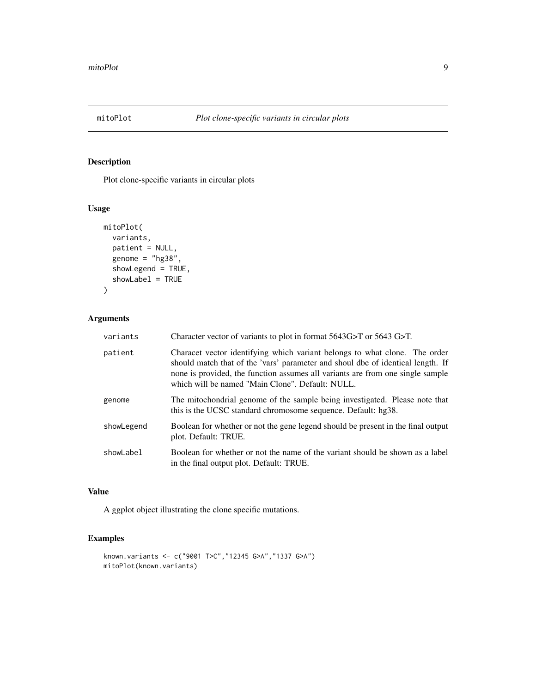<span id="page-8-0"></span>

Plot clone-specific variants in circular plots

### Usage

```
mitoPlot(
  variants,
  patient = NULL,
  genome = "hg38",
  showLegend = TRUE,
  showLabel = TRUE
)
```
### Arguments

| variants   | Character vector of variants to plot in format $5643G > T$ or $5643G > T$ .                                                                                                                                                                                                                         |
|------------|-----------------------------------------------------------------------------------------------------------------------------------------------------------------------------------------------------------------------------------------------------------------------------------------------------|
| patient    | Characet vector identifying which variant belongs to what clone. The order<br>should match that of the 'vars' parameter and shoul dbe of identical length. If<br>none is provided, the function assumes all variants are from one single sample<br>which will be named "Main Clone". Default: NULL. |
| genome     | The mitochondrial genome of the sample being investigated. Please note that<br>this is the UCSC standard chromosome sequence. Default: hg38.                                                                                                                                                        |
| showLegend | Boolean for whether or not the gene legend should be present in the final output<br>plot. Default: TRUE.                                                                                                                                                                                            |
| showLabel  | Boolean for whether or not the name of the variant should be shown as a label<br>in the final output plot. Default: TRUE.                                                                                                                                                                           |

### Value

A ggplot object illustrating the clone specific mutations.

```
known.variants <- c("9001 T>C","12345 G>A","1337 G>A")
mitoPlot(known.variants)
```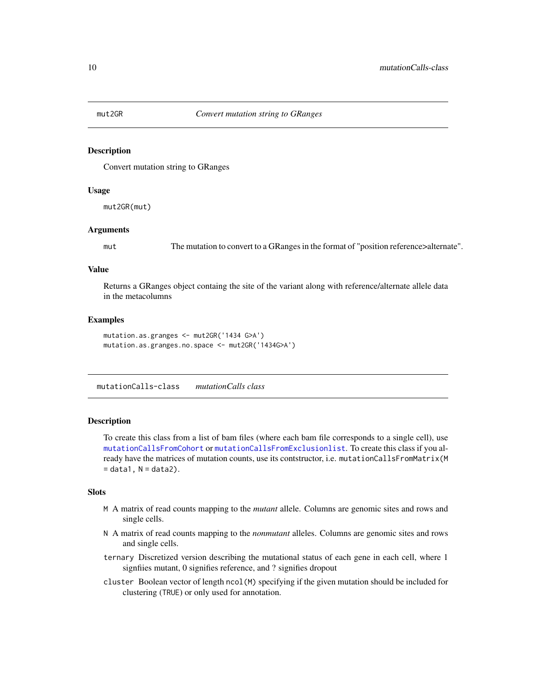<span id="page-9-0"></span>

Convert mutation string to GRanges

### Usage

mut2GR(mut)

### Arguments

mut The mutation to convert to a GRanges in the format of "position reference>alternate".

### Value

Returns a GRanges object containg the site of the variant along with reference/alternate allele data in the metacolumns

### Examples

```
mutation.as.granges <- mut2GR('1434 G>A')
mutation.as.granges.no.space <- mut2GR('1434G>A')
```
mutationCalls-class *mutationCalls class*

#### <span id="page-9-1"></span>Description

To create this class from a list of bam files (where each bam file corresponds to a single cell), use [mutationCallsFromCohort](#page-10-1) or [mutationCallsFromExclusionlist](#page-11-1). To create this class if you already have the matrices of mutation counts, use its contstructor, i.e. mutationCallsFromMatrix(M  $=$  data1,  $N =$  data2).

### **Slots**

- M A matrix of read counts mapping to the *mutant* allele. Columns are genomic sites and rows and single cells.
- N A matrix of read counts mapping to the *nonmutant* alleles. Columns are genomic sites and rows and single cells.
- ternary Discretized version describing the mutational status of each gene in each cell, where 1 signfiies mutant, 0 signifies reference, and ? signifies dropout
- cluster Boolean vector of length ncol(M) specifying if the given mutation should be included for clustering (TRUE) or only used for annotation.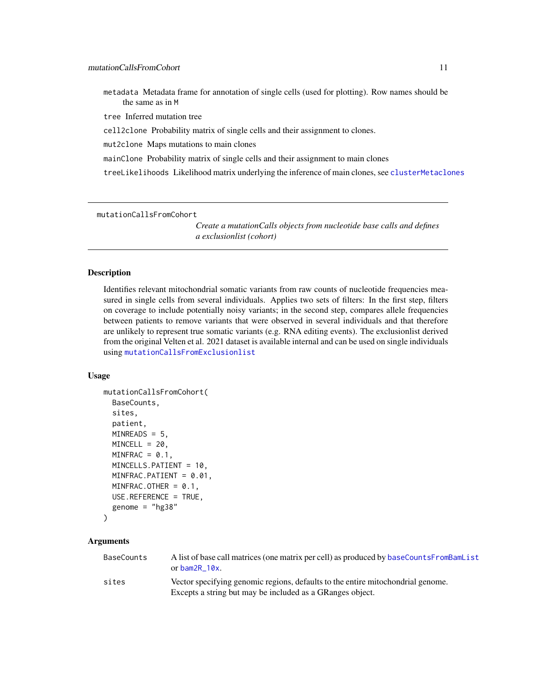<span id="page-10-0"></span>metadata Metadata frame for annotation of single cells (used for plotting). Row names should be the same as in M

tree Inferred mutation tree

cell2clone Probability matrix of single cells and their assignment to clones.

mut2clone Maps mutations to main clones

mainClone Probability matrix of single cells and their assignment to main clones

treeLikelihoods Likelihood matrix underlying the inference of main clones, see [clusterMetaclones](#page-4-1)

<span id="page-10-1"></span>mutationCallsFromCohort

*Create a mutationCalls objects from nucleotide base calls and defines a exclusionlist (cohort)*

### **Description**

Identifies relevant mitochondrial somatic variants from raw counts of nucleotide frequencies measured in single cells from several individuals. Applies two sets of filters: In the first step, filters on coverage to include potentially noisy variants; in the second step, compares allele frequencies between patients to remove variants that were observed in several individuals and that therefore are unlikely to represent true somatic variants (e.g. RNA editing events). The exclusionlist derived from the original Velten et al. 2021 dataset is available internal and can be used on single individuals using [mutationCallsFromExclusionlist](#page-11-1)

### Usage

```
mutationCallsFromCohort(
 BaseCounts,
  sites,
  patient,
 MINREADS = 5,
 MINCELL = 20,
 MINFRAC = 0.1,
 MINCELLS.PATIENT = 10,
 MINFRAC.PATIENT = 0.01,
 MINFRAC.OTHER = 0.1,
 USE.REFERENCE = TRUE,
  genome = "hg38"
```

```
)
```

| BaseCounts | A list of base call matrices (one matrix per cell) as produced by baseCountsFromBamList<br>or bam $2R$ 10x.                                  |
|------------|----------------------------------------------------------------------------------------------------------------------------------------------|
| sites      | Vector specifying genomic regions, defaults to the entire mitochondrial genome.<br>Excepts a string but may be included as a GRanges object. |
|            |                                                                                                                                              |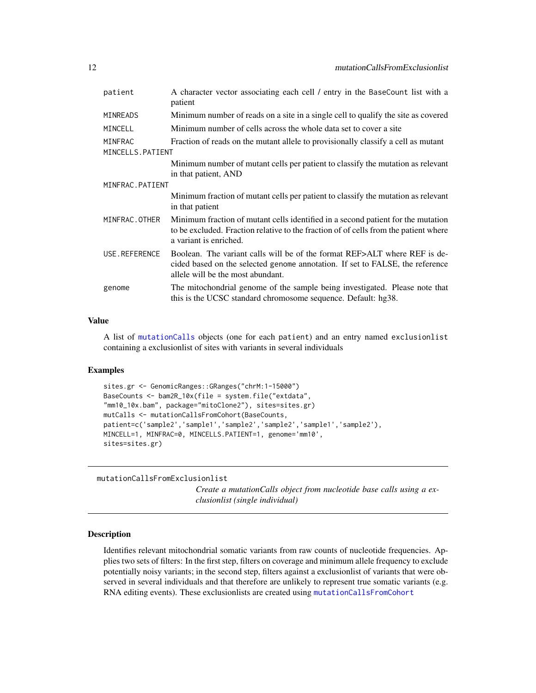<span id="page-11-0"></span>

| patient           | A character vector associating each cell / entry in the BaseCount list with a<br>patient                                                                                                           |
|-------------------|----------------------------------------------------------------------------------------------------------------------------------------------------------------------------------------------------|
| <b>MINREADS</b>   | Minimum number of reads on a site in a single cell to qualify the site as covered                                                                                                                  |
| MINCELL           | Minimum number of cells across the whole data set to cover a site                                                                                                                                  |
| MINFRAC           | Fraction of reads on the mutant allele to provisionally classify a cell as mutant                                                                                                                  |
| MINCELLS. PATIENT |                                                                                                                                                                                                    |
|                   | Minimum number of mutant cells per patient to classify the mutation as relevant                                                                                                                    |
|                   | in that patient, AND                                                                                                                                                                               |
| MINFRAC. PATIENT  |                                                                                                                                                                                                    |
|                   | Minimum fraction of mutant cells per patient to classify the mutation as relevant<br>in that patient                                                                                               |
| MINFRAC.OTHER     | Minimum fraction of mutant cells identified in a second patient for the mutation<br>to be excluded. Fraction relative to the fraction of of cells from the patient where<br>a variant is enriched. |
| USE.REFERENCE     | Boolean. The variant calls will be of the format REF>ALT where REF is de-<br>cided based on the selected genome annotation. If set to FALSE, the reference<br>allele will be the most abundant.    |
| genome            | The mitochondrial genome of the sample being investigated. Please note that<br>this is the UCSC standard chromosome sequence. Default: hg38.                                                       |

### Value

A list of [mutationCalls](#page-9-1) objects (one for each patient) and an entry named exclusionlist containing a exclusionlist of sites with variants in several individuals

### Examples

```
sites.gr <- GenomicRanges::GRanges("chrM:1-15000")
BaseCounts <- bam2R_10x(file = system.file("extdata",
"mm10_10x.bam", package="mitoClone2"), sites=sites.gr)
mutCalls <- mutationCallsFromCohort(BaseCounts,
patient=c('sample2','sample1','sample2','sample2','sample1','sample2'),
MINCELL=1, MINFRAC=0, MINCELLS.PATIENT=1, genome='mm10',
sites=sites.gr)
```
<span id="page-11-1"></span>mutationCallsFromExclusionlist

*Create a mutationCalls object from nucleotide base calls using a exclusionlist (single individual)*

### Description

Identifies relevant mitochondrial somatic variants from raw counts of nucleotide frequencies. Applies two sets of filters: In the first step, filters on coverage and minimum allele frequency to exclude potentially noisy variants; in the second step, filters against a exclusionlist of variants that were observed in several individuals and that therefore are unlikely to represent true somatic variants (e.g. RNA editing events). These exclusionlists are created using [mutationCallsFromCohort](#page-10-1)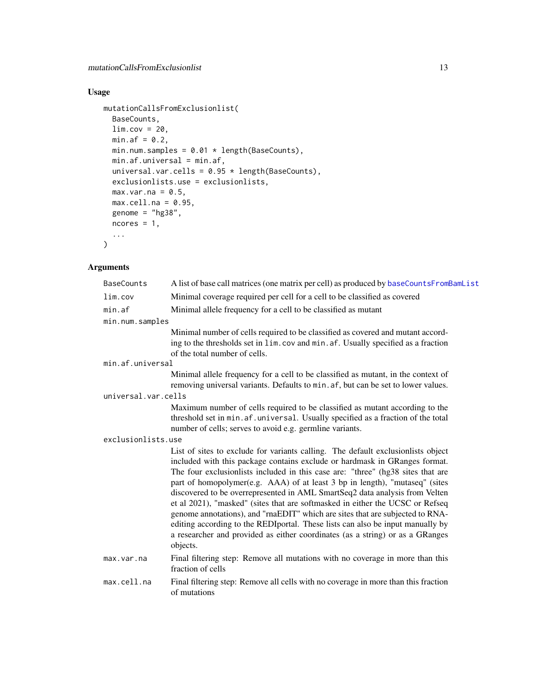### <span id="page-12-0"></span>Usage

```
mutationCallsFromExclusionlist(
 BaseCounts,
 lim.cov = 20,
 min.af = 0.2,
 min.num.samples = 0.01 * length(BaseCounts),
 min.af.universal = min.af,
 universal.var.cells = 0.95 * length(BaseCounts),
 exclusionlists.use = exclusionlists,
 max.var.na = 0.5,
 max.cell.na = 0.95,genome = "hg38",
 ncores = 1,
  ...
)
```

| <b>BaseCounts</b>   | A list of base call matrices (one matrix per cell) as produced by baseCountsFromBamList                                                                                                                                                                                                                                                                                                                                                                                                                                                                                                                                                                                                                                                                          |
|---------------------|------------------------------------------------------------------------------------------------------------------------------------------------------------------------------------------------------------------------------------------------------------------------------------------------------------------------------------------------------------------------------------------------------------------------------------------------------------------------------------------------------------------------------------------------------------------------------------------------------------------------------------------------------------------------------------------------------------------------------------------------------------------|
| lim.cov             | Minimal coverage required per cell for a cell to be classified as covered                                                                                                                                                                                                                                                                                                                                                                                                                                                                                                                                                                                                                                                                                        |
| min.af              | Minimal allele frequency for a cell to be classified as mutant                                                                                                                                                                                                                                                                                                                                                                                                                                                                                                                                                                                                                                                                                                   |
| min.num.samples     |                                                                                                                                                                                                                                                                                                                                                                                                                                                                                                                                                                                                                                                                                                                                                                  |
|                     | Minimal number of cells required to be classified as covered and mutant accord-<br>ing to the thresholds set in lim.cov and min.af. Usually specified as a fraction<br>of the total number of cells.                                                                                                                                                                                                                                                                                                                                                                                                                                                                                                                                                             |
| min.af.universal    |                                                                                                                                                                                                                                                                                                                                                                                                                                                                                                                                                                                                                                                                                                                                                                  |
|                     | Minimal allele frequency for a cell to be classified as mutant, in the context of<br>removing universal variants. Defaults to min. af, but can be set to lower values.                                                                                                                                                                                                                                                                                                                                                                                                                                                                                                                                                                                           |
| universal.var.cells |                                                                                                                                                                                                                                                                                                                                                                                                                                                                                                                                                                                                                                                                                                                                                                  |
|                     | Maximum number of cells required to be classified as mutant according to the<br>threshold set in min. af. universal. Usually specified as a fraction of the total<br>number of cells; serves to avoid e.g. germline variants.                                                                                                                                                                                                                                                                                                                                                                                                                                                                                                                                    |
| exclusionlists.use  |                                                                                                                                                                                                                                                                                                                                                                                                                                                                                                                                                                                                                                                                                                                                                                  |
|                     | List of sites to exclude for variants calling. The default exclusionlists object<br>included with this package contains exclude or hardmask in GRanges format.<br>The four exclusionlists included in this case are: "three" (hg38 sites that are<br>part of homopolymer(e.g. AAA) of at least 3 bp in length), "mutaseq" (sites<br>discovered to be overrepresented in AML SmartSeq2 data analysis from Velten<br>et al 2021), "masked" (sites that are softmasked in either the UCSC or Refseq<br>genome annotations), and "rnaEDIT" which are sites that are subjected to RNA-<br>editing according to the REDIportal. These lists can also be input manually by<br>a researcher and provided as either coordinates (as a string) or as a GRanges<br>objects. |
| max.var.na          | Final filtering step: Remove all mutations with no coverage in more than this<br>fraction of cells                                                                                                                                                                                                                                                                                                                                                                                                                                                                                                                                                                                                                                                               |
| max.cell.na         | Final filtering step: Remove all cells with no coverage in more than this fraction<br>of mutations                                                                                                                                                                                                                                                                                                                                                                                                                                                                                                                                                                                                                                                               |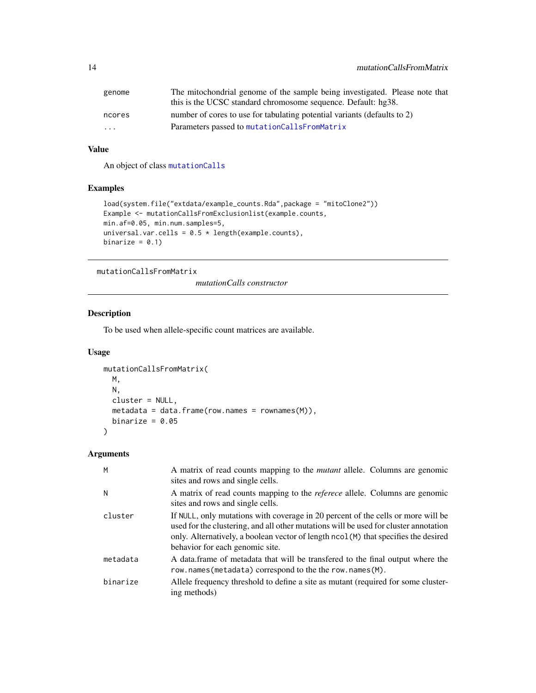<span id="page-13-0"></span>

| genome | The mitochondrial genome of the sample being investigated. Please note that<br>this is the UCSC standard chromosome sequence. Default: hg38. |
|--------|----------------------------------------------------------------------------------------------------------------------------------------------|
| ncores | number of cores to use for tabulating potential variants (defaults to 2)                                                                     |
| .      | Parameters passed to mutationCallsFromMatrix                                                                                                 |

### Value

An object of class [mutationCalls](#page-9-1)

### Examples

```
load(system.file("extdata/example_counts.Rda",package = "mitoClone2"))
Example <- mutationCallsFromExclusionlist(example.counts,
min.af=0.05, min.num.samples=5,
universal.var.cells = 0.5 * length(example.counts),
binarize = 0.1)
```
<span id="page-13-1"></span>mutationCallsFromMatrix

*mutationCalls constructor*

### Description

To be used when allele-specific count matrices are available.

### Usage

```
mutationCallsFromMatrix(
 M,
 N,
 cluster = NULL,
 metadata = data.frame(row.names = rownames(M)),
 binarize = 0.05)
```

| M        | A matrix of read counts mapping to the <i>mutant</i> allele. Columns are genomic<br>sites and rows and single cells.                                                                                                                                                                               |
|----------|----------------------------------------------------------------------------------------------------------------------------------------------------------------------------------------------------------------------------------------------------------------------------------------------------|
| N        | A matrix of read counts mapping to the <i>referece</i> allele. Columns are genomic<br>sites and rows and single cells.                                                                                                                                                                             |
| cluster  | If NULL, only mutations with coverage in 20 percent of the cells or more will be<br>used for the clustering, and all other mutations will be used for cluster annotation<br>only. Alternatively, a boolean vector of length ncol (M) that specifies the desired<br>behavior for each genomic site. |
| metadata | A data frame of metadata that will be transferred to the final output where the<br>row.names(metadata) correspond to the the row.names(M).                                                                                                                                                         |
| binarize | Allele frequency threshold to define a site as mutant (required for some cluster-<br>ing methods)                                                                                                                                                                                                  |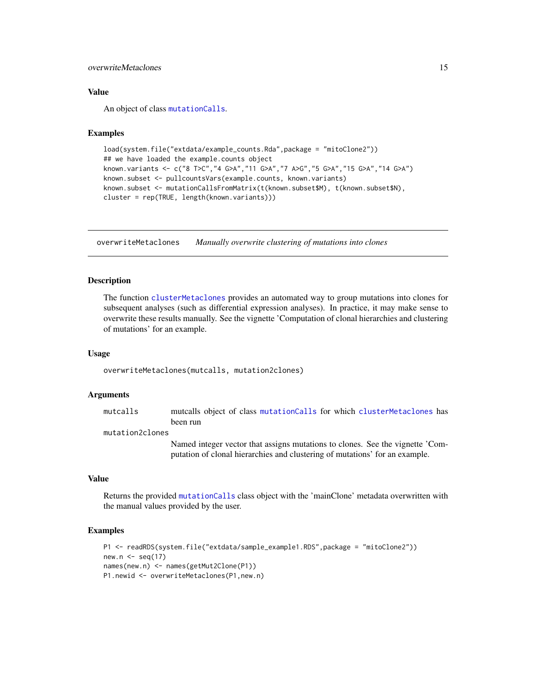### <span id="page-14-0"></span>overwriteMetaclones 15

### Value

An object of class [mutationCalls](#page-9-1).

#### Examples

```
load(system.file("extdata/example_counts.Rda",package = "mitoClone2"))
## we have loaded the example.counts object
known.variants <- c("8 T>C","4 G>A","11 G>A","7 A>G","5 G>A","15 G>A","14 G>A")
known.subset <- pullcountsVars(example.counts, known.variants)
known.subset <- mutationCallsFromMatrix(t(known.subset$M), t(known.subset$N),
cluster = rep(TRUE, length(known.variants)))
```
overwriteMetaclones *Manually overwrite clustering of mutations into clones*

### **Description**

The function [clusterMetaclones](#page-4-1) provides an automated way to group mutations into clones for subsequent analyses (such as differential expression analyses). In practice, it may make sense to overwrite these results manually. See the vignette 'Computation of clonal hierarchies and clustering of mutations' for an example.

#### Usage

```
overwriteMetaclones(mutcalls, mutation2clones)
```
### **Arguments**

mutcalls mutcalls object of class [mutationCalls](#page-9-1) for which [clusterMetaclones](#page-4-1) has been run

### mutation2clones

Named integer vector that assigns mutations to clones. See the vignette 'Computation of clonal hierarchies and clustering of mutations' for an example.

#### Value

Returns the provided [mutationCalls](#page-9-1) class object with the 'mainClone' metadata overwritten with the manual values provided by the user.

```
P1 <- readRDS(system.file("extdata/sample_example1.RDS",package = "mitoClone2"))
new.n \leq seq(17)
names(new.n) <- names(getMut2Clone(P1))
P1.newid <- overwriteMetaclones(P1,new.n)
```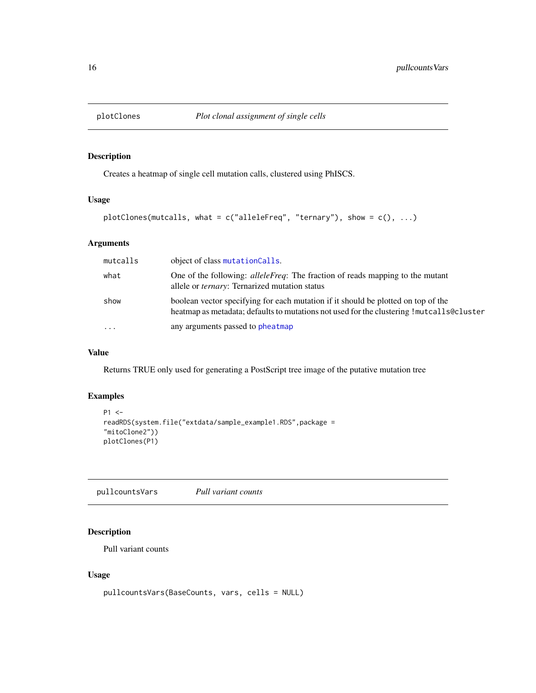<span id="page-15-0"></span>

Creates a heatmap of single cell mutation calls, clustered using PhISCS.

### Usage

```
plotClones(mutcalls, what = c("alleleFreq", "ternary"), show = <math>c(), ...</math>)
```
### Arguments

| mutcalls                | object of class mutation Calls.                                                                                                                                                |
|-------------------------|--------------------------------------------------------------------------------------------------------------------------------------------------------------------------------|
| what                    | One of the following: <i>alleleFreq</i> : The fraction of reads mapping to the mutant<br>allele or <i>ternary</i> : Ternarized mutation status                                 |
| show                    | boolean vector specifying for each mutation if it should be plotted on top of the<br>heatmap as metadata; defaults to mutations not used for the clustering ! mutcalls@cluster |
| $\cdot$ $\cdot$ $\cdot$ | any arguments passed to pheatmap                                                                                                                                               |

### Value

Returns TRUE only used for generating a PostScript tree image of the putative mutation tree

### Examples

```
P1 <-
readRDS(system.file("extdata/sample_example1.RDS",package =
"mitoClone2"))
plotClones(P1)
```
pullcountsVars *Pull variant counts*

### Description

Pull variant counts

#### Usage

```
pullcountsVars(BaseCounts, vars, cells = NULL)
```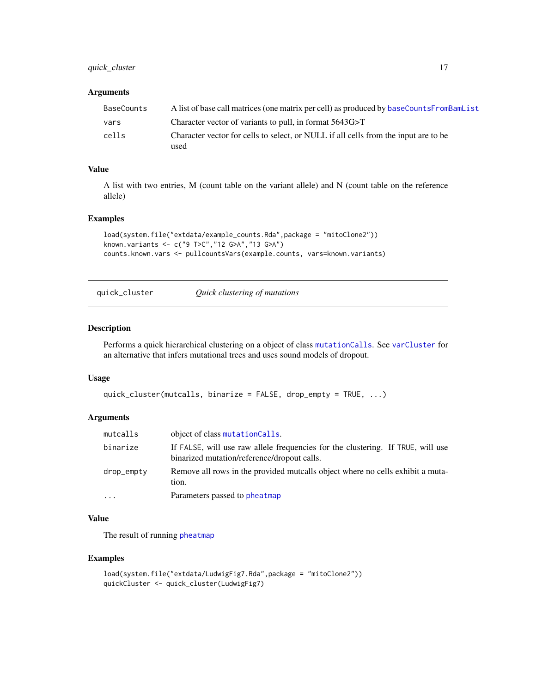### <span id="page-16-0"></span>quick\_cluster 17

### Arguments

| BaseCounts | A list of base call matrices (one matrix per cell) as produced by baseCountsFromBamList     |
|------------|---------------------------------------------------------------------------------------------|
| vars       | Character vector of variants to pull, in format 5643G>T                                     |
| cells      | Character vector for cells to select, or NULL if all cells from the input are to be<br>used |

### Value

A list with two entries, M (count table on the variant allele) and N (count table on the reference allele)

#### Examples

```
load(system.file("extdata/example_counts.Rda",package = "mitoClone2"))
known.variants <- c("9 T>C","12 G>A","13 G>A")
counts.known.vars <- pullcountsVars(example.counts, vars=known.variants)
```
quick\_cluster *Quick clustering of mutations*

### Description

Performs a quick hierarchical clustering on a object of class [mutationCalls](#page-9-1). See [varCluster](#page-18-1) for an alternative that infers mutational trees and uses sound models of dropout.

#### Usage

```
quick_cluster(mutcalls, binarize = FALSE, drop_empty = TRUE, ...)
```
### Arguments

| mutcalls   | object of class mutation Calls.                                                                                                |
|------------|--------------------------------------------------------------------------------------------------------------------------------|
| binarize   | If FALSE, will use raw allele frequencies for the clustering. If TRUE, will use<br>binarized mutation/reference/dropout calls. |
| drop_empty | Remove all rows in the provided mutcalls object where no cells exhibit a muta-<br>tion.                                        |
| $\cdots$   | Parameters passed to pheatmap                                                                                                  |

### Value

The result of running [pheatmap](#page-0-0)

```
load(system.file("extdata/LudwigFig7.Rda",package = "mitoClone2"))
quickCluster <- quick_cluster(LudwigFig7)
```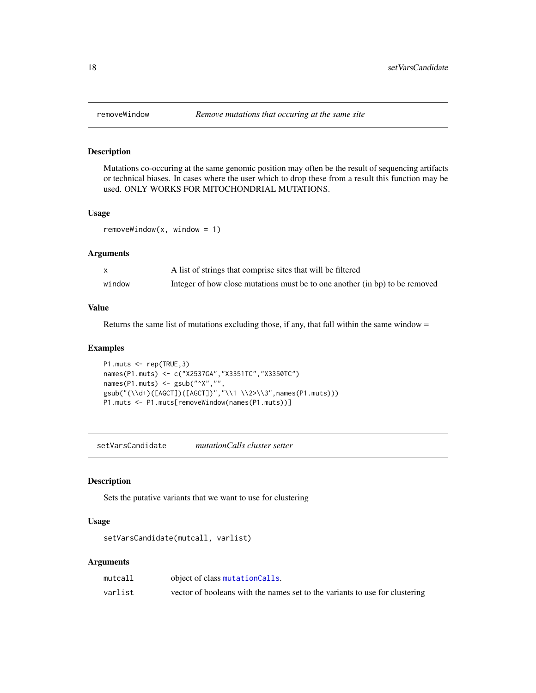Mutations co-occuring at the same genomic position may often be the result of sequencing artifacts or technical biases. In cases where the user which to drop these from a result this function may be used. ONLY WORKS FOR MITOCHONDRIAL MUTATIONS.

### Usage

 $removeWindow(x, window = 1)$ 

### Arguments

|        | A list of strings that comprise sites that will be filtered                 |
|--------|-----------------------------------------------------------------------------|
| window | Integer of how close mutations must be to one another (in bp) to be removed |

### Value

Returns the same list of mutations excluding those, if any, that fall within the same window  $=$ 

### Examples

```
P1.muts <- rep(TRUE,3)
names(P1.muts) <- c("X2537GA","X3351TC","X3350TC")
names(P1.muts) <- gsub("^X","",
gsub("(\\d+)([AGCT])([AGCT])","\\1 \\2>\\3",names(P1.muts)))
P1.muts <- P1.muts[removeWindow(names(P1.muts))]
```
setVarsCandidate *mutationCalls cluster setter*

### Description

Sets the putative variants that we want to use for clustering

#### Usage

```
setVarsCandidate(mutcall, varlist)
```

| mutcall | object of class mutationCalls.                                              |
|---------|-----------------------------------------------------------------------------|
| varlist | vector of booleans with the names set to the variants to use for clustering |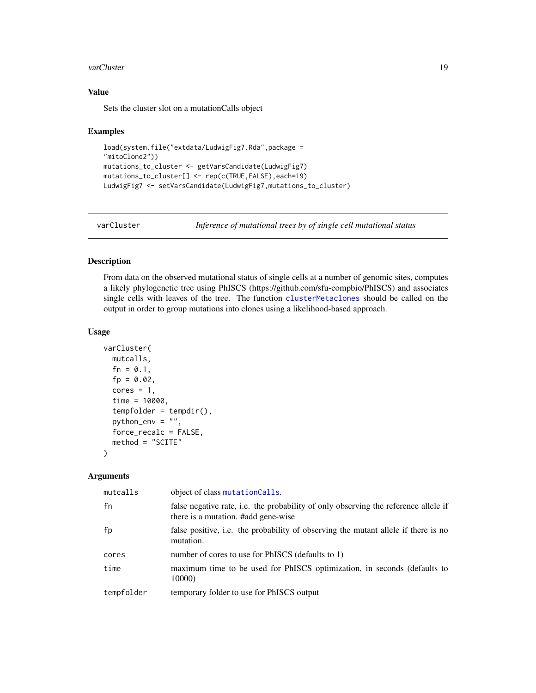#### <span id="page-18-0"></span>varCluster 19

### Value

Sets the cluster slot on a mutationCalls object

### Examples

```
load(system.file("extdata/LudwigFig7.Rda",package =
"mitoClone2"))
mutations_to_cluster <- getVarsCandidate(LudwigFig7)
mutations_to_cluster[] <- rep(c(TRUE,FALSE),each=19)
LudwigFig7 <- setVarsCandidate(LudwigFig7,mutations_to_cluster)
```
<span id="page-18-1"></span>

varCluster *Inference of mutational trees by of single cell mutational status*

### Description

From data on the observed mutational status of single cells at a number of genomic sites, computes a likely phylogenetic tree using PhISCS (https://github.com/sfu-compbio/PhISCS) and associates single cells with leaves of the tree. The function [clusterMetaclones](#page-4-1) should be called on the output in order to group mutations into clones using a likelihood-based approach.

### Usage

```
varCluster(
 mutcalls,
  fn = 0.1,
  fp = 0.02,cores = 1,time = 10000,
  tempfolder = tempdir(),
  python_env = ",
  force_recalc = FALSE,
  method = "SCITE"
)
```

| mutcalls   | object of class mutationCalls.                                                                                             |
|------------|----------------------------------------------------------------------------------------------------------------------------|
| fn         | false negative rate, i.e. the probability of only observing the reference allele if<br>there is a mutation. #add gene-wise |
| fp         | false positive, i.e. the probability of observing the mutant allele if there is no<br>mutation.                            |
| cores      | number of cores to use for PhISCS (defaults to 1)                                                                          |
| time       | maximum time to be used for PhISCS optimization, in seconds (defaults to<br>10000)                                         |
| tempfolder | temporary folder to use for PhISCS output                                                                                  |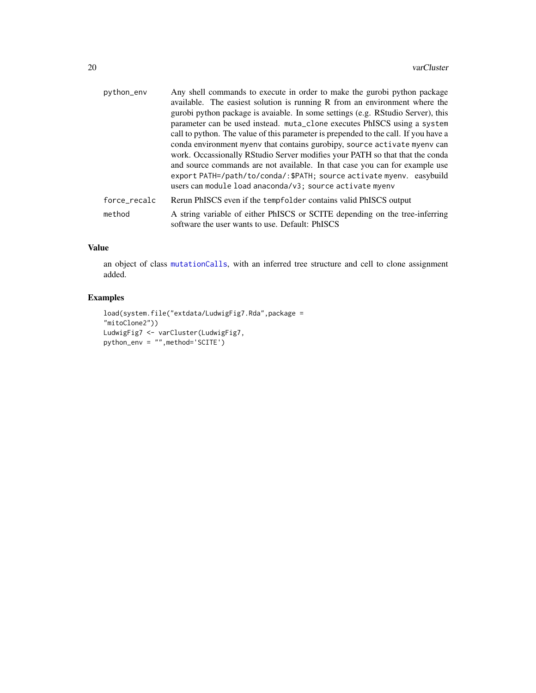<span id="page-19-0"></span>

| python_env   | Any shell commands to execute in order to make the gurobi python package<br>available. The easiest solution is running R from an environment where the<br>gurobi python package is avaiable. In some settings (e.g. RStudio Server), this<br>parameter can be used instead. muta_clone executes PhISCS using a system<br>call to python. The value of this parameter is prepended to the call. If you have a |
|--------------|--------------------------------------------------------------------------------------------------------------------------------------------------------------------------------------------------------------------------------------------------------------------------------------------------------------------------------------------------------------------------------------------------------------|
|              | conda environment myenv that contains gurobipy, source activate myenv can<br>work. Occassionally RStudio Server modifies your PATH so that that the conda<br>and source commands are not available. In that case you can for example use<br>export PATH=/path/to/conda/: \$PATH; source activate myenv. easybuild<br>users can module load anaconda/v3; source activate myenv                                |
| force_recalc | Rerun PhISCS even if the tempfolder contains valid PhISCS output                                                                                                                                                                                                                                                                                                                                             |
| method       | A string variable of either PhISCS or SCITE depending on the tree-inferring<br>software the user wants to use. Default: PhISCS                                                                                                                                                                                                                                                                               |

### Value

an object of class [mutationCalls](#page-9-1), with an inferred tree structure and cell to clone assignment added.

```
load(system.file("extdata/LudwigFig7.Rda",package =
"mitoClone2"))
LudwigFig7 <- varCluster(LudwigFig7,
python_env = "",method='SCITE')
```